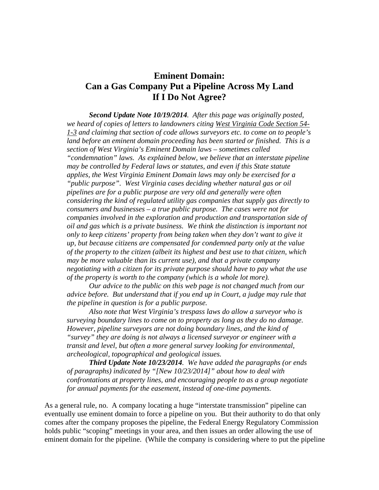## **Eminent Domain: Can a Gas Company Put a Pipeline Across My Land If I Do Not Agree?**

*Second Update Note 10/19/2014. After this page was originally posted, we heard of copies of letters to landowners citing West Virginia Code Section 54- 1-3 and claiming that section of code allows surveyors etc. to come on to people's land before an eminent domain proceeding has been started or finished. This is a section of West Virginia's Eminent Domain laws – sometimes called "condemnation" laws. As explained below, we believe that an interstate pipeline may be controlled by Federal laws or statutes, and even if this State statute applies, the West Virginia Eminent Domain laws may only be exercised for a "public purpose". West Virginia cases deciding whether natural gas or oil pipelines are for a public purpose are very old and generally were often considering the kind of regulated utility gas companies that supply gas directly to consumers and businesses – a true public purpose. The cases were not for companies involved in the exploration and production and transportation side of oil and gas which is a private business. We think the distinction is important not only to keep citizens' property from being taken when they don't want to give it up, but because citizens are compensated for condemned party only at the value of the property to the citizen (albeit its highest and best use to that citizen, which may be more valuable than its current use), and that a private company negotiating with a citizen for its private purpose should have to pay what the use of the property is worth to the company (which is a whole lot more).*

*Our advice to the public on this web page is not changed much from our advice before. But understand that if you end up in Court, a judge may rule that the pipeline in question is for a public purpose.*

*Also note that West Virginia's trespass laws do allow a surveyor who is surveying boundary lines to come on to property as long as they do no damage. However, pipeline surveyors are not doing boundary lines, and the kind of "survey" they are doing is not always a licensed surveyor or engineer with a transit and level, but often a more general survey looking for environmental, archeological, topographical and geological issues.*

*Third Update Note 10/23/2014. We have added the paragraphs (or ends of paragraphs) indicated by "[New 10/23/2014]" about how to deal with confrontations at property lines, and encouraging people to as a group negotiate for annual payments for the easement, instead of one-time payments.* 

As a general rule, no. A company locating a huge "interstate transmission" pipeline can eventually use eminent domain to force a pipeline on you. But their authority to do that only comes after the company proposes the pipeline, the Federal Energy Regulatory Commission holds public "scoping" meetings in your area, and then issues an order allowing the use of eminent domain for the pipeline. (While the company is considering where to put the pipeline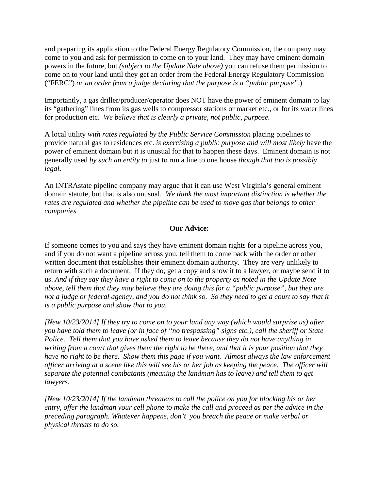and preparing its application to the Federal Energy Regulatory Commission, the company may come to you and ask for permission to come on to your land. They may have eminent domain powers in the future, but *(subject to the Update Note above)* you can refuse them permission to come on to your land until they get an order from the Federal Energy Regulatory Commission ("FERC") *or an order from a judge declaring that the purpose is a "public purpose"*.)

Importantly, a gas driller/producer/operator does NOT have the power of eminent domain to lay its "gathering" lines from its gas wells to compressor stations or market etc., or for its water lines for production etc. *We believe that is clearly a private, not public, purpose.*

A local utility *with rates regulated by the Public Service Commission* placing pipelines to provide natural gas to residences etc. *is exercising a public purpose and will most likely* have the power of eminent domain but it is unusual for that to happen these days. Eminent domain is not generally used *by such an entity to* just to run a line to one house *though that too is possibly legal*.

An INTRAstate pipeline company may argue that it can use West Virginia's general eminent domain statute, but that is also unusual. *We think the most important distinction is whether the rates are regulated and whether the pipeline can be used to move gas that belongs to other companies.*

## **Our Advice:**

If someone comes to you and says they have eminent domain rights for a pipeline across you, and if you do not want a pipeline across you, tell them to come back with the order or other written document that establishes their eminent domain authority. They are very unlikely to return with such a document. If they do, get a copy and show it to a lawyer, or maybe send it to us. *And if they say they have a right to come on to the property as noted in the Update Note above, tell them that they may believe they are doing this for a "public purpose", but they are not a judge or federal agency, and you do not think so. So they need to get a court to say that it is a public purpose and show that to you.* 

*[New 10/23/2014] If they try to come on to your land any way (which would surprise us) after you have told them to leave (or in face of "no trespassing" signs etc.), call the sheriff or State Police. Tell them that you have asked them to leave because they do not have anything in writing from a court that gives them the right to be there, and that it is your position that they have no right to be there. Show them this page if you want. Almost always the law enforcement officer arriving at a scene like this will see his or her job as keeping the peace. The officer will separate the potential combatants (meaning the landman has to leave) and tell them to get lawyers.* 

*[New 10/23/2014] If the landman threatens to call the police on you for blocking his or her entry, offer the landman your cell phone to make the call and proceed as per the advice in the preceding paragraph. Whatever happens, don't you breach the peace or make verbal or physical threats to do so.*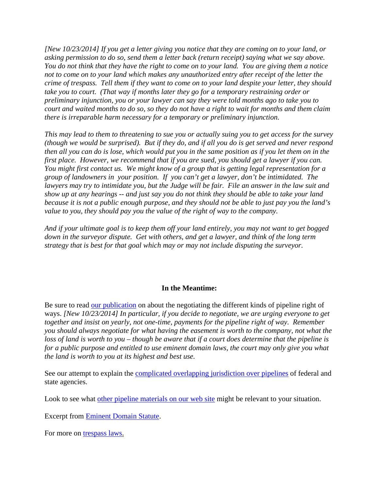*[New 10/23/2014] If you get a letter giving you notice that they are coming on to your land, or asking permission to do so, send them a letter back (return receipt) saying what we say above. You do not think that they have the right to come on to your land. You are giving them a notice not to come on to your land which makes any unauthorized entry after receipt of the letter the crime of trespass. Tell them if they want to come on to your land despite your letter, they should take you to court. (That way if months later they go for a temporary restraining order or preliminary injunction, you or your lawyer can say they were told months ago to take you to court and waited months to do so, so they do not have a right to wait for months and them claim there is irreparable harm necessary for a temporary or preliminary injunction.* 

*This may lead to them to threatening to sue you or actually suing you to get access for the survey (though we would be surprised). But if they do, and if all you do is get served and never respond then all you can do is lose, which would put you in the same position as if you let them on in the first place. However, we recommend that if you are sued, you should get a lawyer if you can. You might first contact us. We might know of a group that is getting legal representation for a group of landowners in your position. If you can't get a lawyer, don't be intimidated. The*  lawyers may try to intimidate you, but the Judge will be fair. File an answer in the law suit and *show up at any hearings -- and just say you do not think they should be able to take your land because it is not a public enough purpose, and they should not be able to just pay you the land's value to you, they should pay you the value of the right of way to the company.* 

*And if your ultimate goal is to keep them off your land entirely, you may not want to get bogged down in the surveyor dispute. Get with others, and get a lawyer, and think of the long term strategy that is best for that goal which may or may not include disputing the surveyor.*

## **In the Meantime:**

Be sure to read [our publication](http://www.wvsoro.org/resources/advice/Pipelines_What_Surface_Owners_Should_Know_2014-08-27.pdf) on about the negotiating the different kinds of pipeline right of ways. *[New 10/23/2014] In particular, if you decide to negotiate, we are urging everyone to get together and insist on yearly, not one-time, payments for the pipeline right of way. Remember you should always negotiate for what having the easement is worth to the company, not what the loss of land is worth to you – though be aware that if a court does determine that the pipeline is for a public purpose and entitled to use eminent domain laws, the court may only give you what the land is worth to you at its highest and best use.*

See our attempt to explain the [complicated overlapping jurisdiction over pipelines](http://www.wvsoro.org/resources/advice/Who-Regulates-What-Pipelines-2014-08-27.pdf) of federal and state agencies.

Look to see what [other pipeline materials on our web site](http://wvsoro.org/resources/advice/index.html#pipelines) might be relevant to your situation.

Excerpt from [Eminent Domain Statute.](http://wvsoro.org/resources/advice/EminentDomainCodeExcerpt.pdf)

For more on [trespass laws.](http://wvsoro.org/resources/advice/TrespassLegalOpinionLtr2012-11-26Update.pdf)